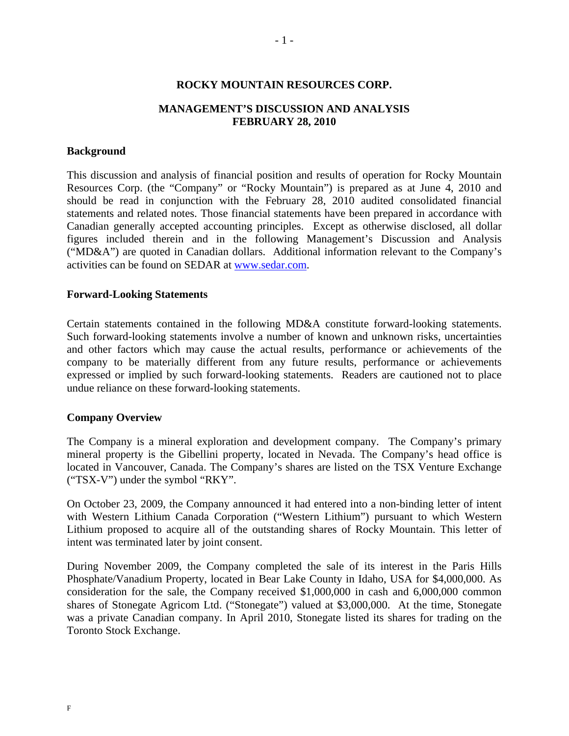## **ROCKY MOUNTAIN RESOURCES CORP.**

# **MANAGEMENT'S DISCUSSION AND ANALYSIS FEBRUARY 28, 2010**

## **Background**

This discussion and analysis of financial position and results of operation for Rocky Mountain Resources Corp. (the "Company" or "Rocky Mountain") is prepared as at June 4, 2010 and should be read in conjunction with the February 28, 2010 audited consolidated financial statements and related notes. Those financial statements have been prepared in accordance with Canadian generally accepted accounting principles. Except as otherwise disclosed, all dollar figures included therein and in the following Management's Discussion and Analysis ("MD&A") are quoted in Canadian dollars. Additional information relevant to the Company's activities can be found on SEDAR at www.sedar.com.

#### **Forward-Looking Statements**

Certain statements contained in the following MD&A constitute forward-looking statements. Such forward-looking statements involve a number of known and unknown risks, uncertainties and other factors which may cause the actual results, performance or achievements of the company to be materially different from any future results, performance or achievements expressed or implied by such forward-looking statements. Readers are cautioned not to place undue reliance on these forward-looking statements.

#### **Company Overview**

The Company is a mineral exploration and development company. The Company's primary mineral property is the Gibellini property, located in Nevada. The Company's head office is located in Vancouver, Canada. The Company's shares are listed on the TSX Venture Exchange ("TSX-V") under the symbol "RKY".

On October 23, 2009, the Company announced it had entered into a non-binding letter of intent with Western Lithium Canada Corporation ("Western Lithium") pursuant to which Western Lithium proposed to acquire all of the outstanding shares of Rocky Mountain. This letter of intent was terminated later by joint consent.

During November 2009, the Company completed the sale of its interest in the Paris Hills Phosphate/Vanadium Property, located in Bear Lake County in Idaho, USA for \$4,000,000. As consideration for the sale, the Company received \$1,000,000 in cash and 6,000,000 common shares of Stonegate Agricom Ltd. ("Stonegate") valued at \$3,000,000. At the time, Stonegate was a private Canadian company. In April 2010, Stonegate listed its shares for trading on the Toronto Stock Exchange.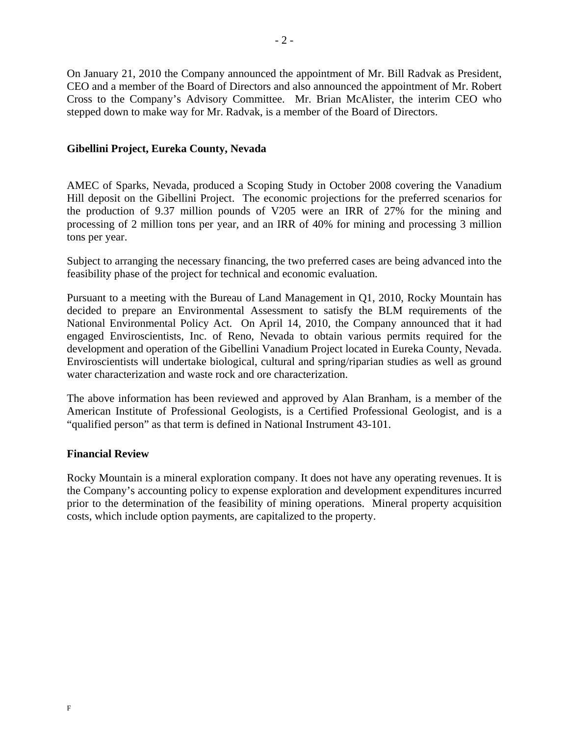On January 21, 2010 the Company announced the appointment of Mr. Bill Radvak as President, CEO and a member of the Board of Directors and also announced the appointment of Mr. Robert Cross to the Company's Advisory Committee. Mr. Brian McAlister, the interim CEO who stepped down to make way for Mr. Radvak, is a member of the Board of Directors.

# **Gibellini Project, Eureka County, Nevada**

AMEC of Sparks, Nevada, produced a Scoping Study in October 2008 covering the Vanadium Hill deposit on the Gibellini Project. The economic projections for the preferred scenarios for the production of 9.37 million pounds of V205 were an IRR of 27% for the mining and processing of 2 million tons per year, and an IRR of 40% for mining and processing 3 million tons per year.

Subject to arranging the necessary financing, the two preferred cases are being advanced into the feasibility phase of the project for technical and economic evaluation.

Pursuant to a meeting with the Bureau of Land Management in Q1, 2010, Rocky Mountain has decided to prepare an Environmental Assessment to satisfy the BLM requirements of the National Environmental Policy Act. On April 14, 2010, the Company announced that it had engaged Enviroscientists, Inc. of Reno, Nevada to obtain various permits required for the development and operation of the Gibellini Vanadium Project located in Eureka County, Nevada. Enviroscientists will undertake biological, cultural and spring/riparian studies as well as ground water characterization and waste rock and ore characterization.

The above information has been reviewed and approved by Alan Branham, is a member of the American Institute of Professional Geologists, is a Certified Professional Geologist, and is a "qualified person" as that term is defined in National Instrument 43-101.

## **Financial Review**

Rocky Mountain is a mineral exploration company. It does not have any operating revenues. It is the Company's accounting policy to expense exploration and development expenditures incurred prior to the determination of the feasibility of mining operations. Mineral property acquisition costs, which include option payments, are capitalized to the property.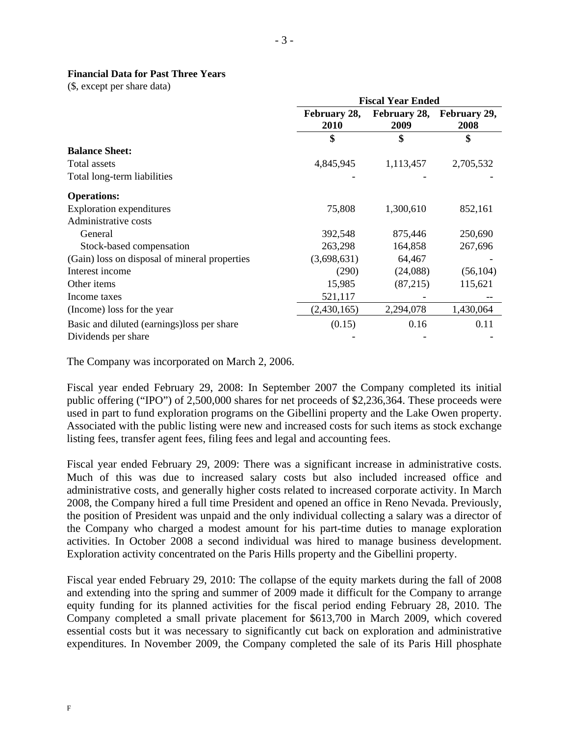# **Financial Data for Past Three Years**

(\$, except per share data)

|                                               | <b>Fiscal Year Ended</b> |                      |                      |  |
|-----------------------------------------------|--------------------------|----------------------|----------------------|--|
|                                               | February 28,<br>2010     | February 28,<br>2009 | February 29,<br>2008 |  |
|                                               | \$                       | \$                   | \$                   |  |
| <b>Balance Sheet:</b>                         |                          |                      |                      |  |
| Total assets                                  | 4,845,945                | 1,113,457            | 2,705,532            |  |
| Total long-term liabilities                   |                          |                      |                      |  |
| <b>Operations:</b>                            |                          |                      |                      |  |
| <b>Exploration expenditures</b>               | 75,808                   | 1,300,610            | 852,161              |  |
| Administrative costs                          |                          |                      |                      |  |
| General                                       | 392,548                  | 875,446              | 250,690              |  |
| Stock-based compensation                      | 263,298                  | 164,858              | 267,696              |  |
| (Gain) loss on disposal of mineral properties | (3,698,631)              | 64,467               |                      |  |
| Interest income                               | (290)                    | (24,088)             | (56, 104)            |  |
| Other items                                   | 15,985                   | (87,215)             | 115,621              |  |
| Income taxes                                  | 521,117                  |                      |                      |  |
| (Income) loss for the year                    | (2,430,165)              | 2,294,078            | 1,430,064            |  |
| Basic and diluted (earnings) loss per share   | (0.15)                   | 0.16                 | 0.11                 |  |
| Dividends per share                           |                          |                      |                      |  |

The Company was incorporated on March 2, 2006.

Fiscal year ended February 29, 2008: In September 2007 the Company completed its initial public offering ("IPO") of 2,500,000 shares for net proceeds of \$2,236,364. These proceeds were used in part to fund exploration programs on the Gibellini property and the Lake Owen property. Associated with the public listing were new and increased costs for such items as stock exchange listing fees, transfer agent fees, filing fees and legal and accounting fees.

Fiscal year ended February 29, 2009: There was a significant increase in administrative costs. Much of this was due to increased salary costs but also included increased office and administrative costs, and generally higher costs related to increased corporate activity. In March 2008, the Company hired a full time President and opened an office in Reno Nevada. Previously, the position of President was unpaid and the only individual collecting a salary was a director of the Company who charged a modest amount for his part-time duties to manage exploration activities. In October 2008 a second individual was hired to manage business development. Exploration activity concentrated on the Paris Hills property and the Gibellini property.

Fiscal year ended February 29, 2010: The collapse of the equity markets during the fall of 2008 and extending into the spring and summer of 2009 made it difficult for the Company to arrange equity funding for its planned activities for the fiscal period ending February 28, 2010. The Company completed a small private placement for \$613,700 in March 2009, which covered essential costs but it was necessary to significantly cut back on exploration and administrative expenditures. In November 2009, the Company completed the sale of its Paris Hill phosphate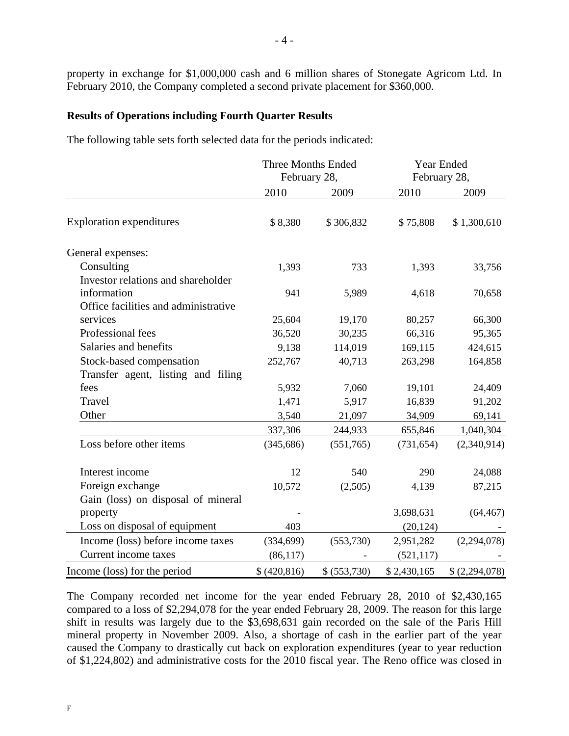property in exchange for \$1,000,000 cash and 6 million shares of Stonegate Agricom Ltd. In February 2010, the Company completed a second private placement for \$360,000.

# **Results of Operations including Fourth Quarter Results**

The following table sets forth selected data for the periods indicated:

|                                                   | <b>Three Months Ended</b><br>February 28, |              | Year Ended<br>February 28, |                |
|---------------------------------------------------|-------------------------------------------|--------------|----------------------------|----------------|
|                                                   | 2010                                      | 2009         | 2010                       | 2009           |
| <b>Exploration expenditures</b>                   | \$8,380                                   | \$306,832    | \$75,808                   | \$1,300,610    |
| General expenses:                                 |                                           |              |                            |                |
| Consulting                                        | 1,393                                     | 733          | 1,393                      | 33,756         |
| Investor relations and shareholder<br>information | 941                                       | 5,989        | 4,618                      | 70,658         |
| Office facilities and administrative              |                                           |              |                            |                |
| services                                          | 25,604                                    | 19,170       | 80,257                     | 66,300         |
| Professional fees                                 | 36,520                                    | 30,235       | 66,316                     | 95,365         |
| Salaries and benefits                             | 9,138                                     | 114,019      | 169,115                    | 424,615        |
| Stock-based compensation                          | 252,767                                   | 40,713       | 263,298                    | 164,858        |
| Transfer agent, listing and filing                |                                           |              |                            |                |
| fees                                              | 5,932                                     | 7,060        | 19,101                     | 24,409         |
| Travel                                            | 1,471                                     | 5,917        | 16,839                     | 91,202         |
| Other                                             | 3,540                                     | 21,097       | 34,909                     | 69,141         |
|                                                   | 337,306                                   | 244,933      | 655,846                    | 1,040,304      |
| Loss before other items                           | (345, 686)                                | (551,765)    | (731, 654)                 | (2,340,914)    |
| Interest income                                   | 12                                        | 540          | 290                        | 24,088         |
| Foreign exchange                                  | 10,572                                    | (2,505)      | 4,139                      | 87,215         |
| Gain (loss) on disposal of mineral                |                                           |              |                            |                |
| property                                          |                                           |              | 3,698,631                  | (64, 467)      |
| Loss on disposal of equipment                     | 403                                       |              | (20, 124)                  |                |
| Income (loss) before income taxes                 | (334, 699)                                | (553,730)    | 2,951,282                  | (2,294,078)    |
| Current income taxes                              | (86, 117)                                 |              | (521, 117)                 |                |
| Income (loss) for the period                      | \$ (420, 816)                             | \$ (553,730) | \$2,430,165                | \$ (2,294,078) |

The Company recorded net income for the year ended February 28, 2010 of \$2,430,165 compared to a loss of \$2,294,078 for the year ended February 28, 2009. The reason for this large shift in results was largely due to the \$3,698,631 gain recorded on the sale of the Paris Hill mineral property in November 2009. Also, a shortage of cash in the earlier part of the year caused the Company to drastically cut back on exploration expenditures (year to year reduction of \$1,224,802) and administrative costs for the 2010 fiscal year. The Reno office was closed in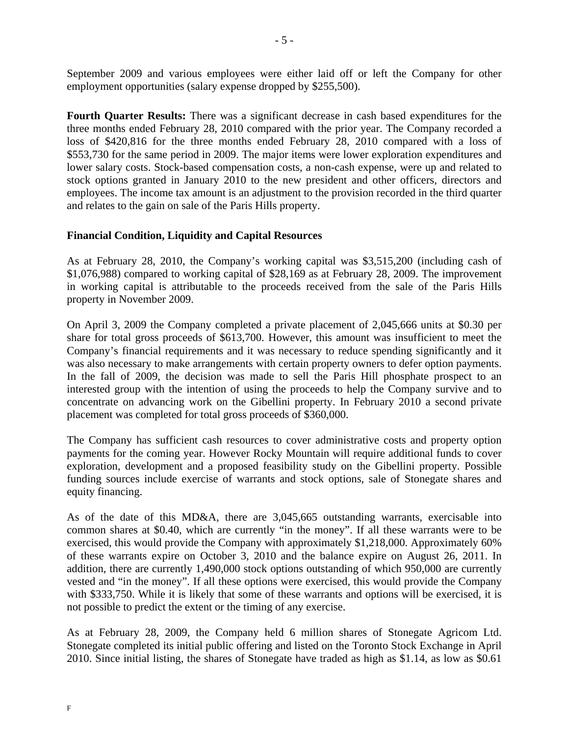September 2009 and various employees were either laid off or left the Company for other employment opportunities (salary expense dropped by \$255,500).

**Fourth Quarter Results:** There was a significant decrease in cash based expenditures for the three months ended February 28, 2010 compared with the prior year. The Company recorded a loss of \$420,816 for the three months ended February 28, 2010 compared with a loss of \$553,730 for the same period in 2009. The major items were lower exploration expenditures and lower salary costs. Stock-based compensation costs, a non-cash expense, were up and related to stock options granted in January 2010 to the new president and other officers, directors and employees. The income tax amount is an adjustment to the provision recorded in the third quarter and relates to the gain on sale of the Paris Hills property.

# **Financial Condition, Liquidity and Capital Resources**

As at February 28, 2010, the Company's working capital was \$3,515,200 (including cash of \$1,076,988) compared to working capital of \$28,169 as at February 28, 2009. The improvement in working capital is attributable to the proceeds received from the sale of the Paris Hills property in November 2009.

On April 3, 2009 the Company completed a private placement of 2,045,666 units at \$0.30 per share for total gross proceeds of \$613,700. However, this amount was insufficient to meet the Company's financial requirements and it was necessary to reduce spending significantly and it was also necessary to make arrangements with certain property owners to defer option payments. In the fall of 2009, the decision was made to sell the Paris Hill phosphate prospect to an interested group with the intention of using the proceeds to help the Company survive and to concentrate on advancing work on the Gibellini property. In February 2010 a second private placement was completed for total gross proceeds of \$360,000.

The Company has sufficient cash resources to cover administrative costs and property option payments for the coming year. However Rocky Mountain will require additional funds to cover exploration, development and a proposed feasibility study on the Gibellini property. Possible funding sources include exercise of warrants and stock options, sale of Stonegate shares and equity financing.

As of the date of this MD&A, there are 3,045,665 outstanding warrants, exercisable into common shares at \$0.40, which are currently "in the money". If all these warrants were to be exercised, this would provide the Company with approximately \$1,218,000. Approximately 60% of these warrants expire on October 3, 2010 and the balance expire on August 26, 2011. In addition, there are currently 1,490,000 stock options outstanding of which 950,000 are currently vested and "in the money". If all these options were exercised, this would provide the Company with \$333,750. While it is likely that some of these warrants and options will be exercised, it is not possible to predict the extent or the timing of any exercise.

As at February 28, 2009, the Company held 6 million shares of Stonegate Agricom Ltd. Stonegate completed its initial public offering and listed on the Toronto Stock Exchange in April 2010. Since initial listing, the shares of Stonegate have traded as high as \$1.14, as low as \$0.61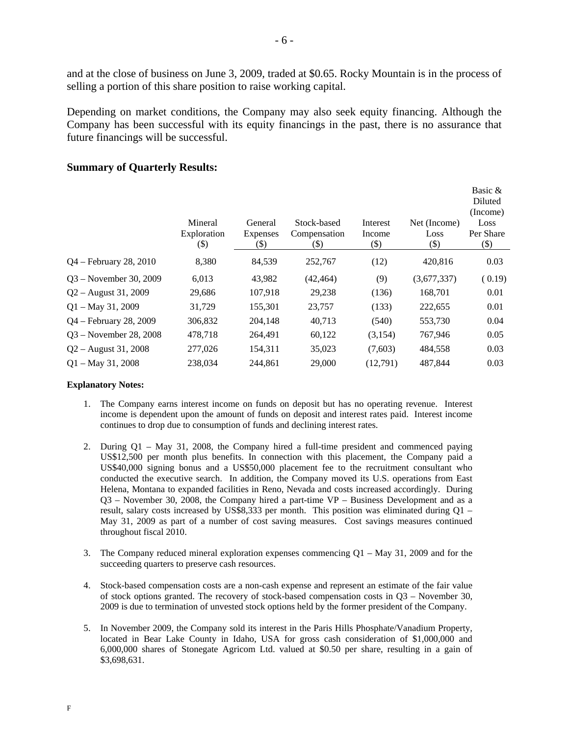and at the close of business on June 3, 2009, traded at \$0.65. Rocky Mountain is in the process of selling a portion of this share position to raise working capital.

Depending on market conditions, the Company may also seek equity financing. Although the Company has been successful with its equity financings in the past, there is no assurance that future financings will be successful.

#### Mineral Exploration (\$) General Expenses (\$) Stock-based Compensation (\$) Interest Income (\$) Net (Income) Loss (\$) Basic & Diluted (Income) Loss Per Share (\$) Q4 – February 28, 2010 8,380 84,539 252,767 (12) 420,816 0.03 Q3 – November 30, 2009 6,013 43,982 (42,464) (9) (3,677,337) ( 0.19) Q2 – August 31, 2009 29,686 107,918 29,238 (136) 168,701 0.01 Q1 – May 31, 2009 31,729 155,301 23,757 (133) 222,655 0.01 Q4 – February 28, 2009 306,832 204,148 40,713 (540) 553,730 0.04 Q3 – November 28, 2008 478,718 264,491 60,122 (3,154) 767,946 0.05 Q2 – August 31, 2008 277,026 154,311 35,023 (7,603) 484,558 0.03 Q1 – May 31, 2008 238,034 244,861 29,000 (12,791) 487,844 0.03

# **Summary of Quarterly Results:**

#### **Explanatory Notes:**

- 1. The Company earns interest income on funds on deposit but has no operating revenue. Interest income is dependent upon the amount of funds on deposit and interest rates paid. Interest income continues to drop due to consumption of funds and declining interest rates.
- 2. During Q1 May 31, 2008, the Company hired a full-time president and commenced paying US\$12,500 per month plus benefits. In connection with this placement, the Company paid a US\$40,000 signing bonus and a US\$50,000 placement fee to the recruitment consultant who conducted the executive search. In addition, the Company moved its U.S. operations from East Helena, Montana to expanded facilities in Reno, Nevada and costs increased accordingly. During Q3 – November 30, 2008, the Company hired a part-time VP – Business Development and as a result, salary costs increased by US\$8,333 per month. This position was eliminated during Q1 – May 31, 2009 as part of a number of cost saving measures. Cost savings measures continued throughout fiscal 2010.
- 3. The Company reduced mineral exploration expenses commencing  $Q1 May 31$ , 2009 and for the succeeding quarters to preserve cash resources.
- 4. Stock-based compensation costs are a non-cash expense and represent an estimate of the fair value of stock options granted. The recovery of stock-based compensation costs in  $Q3$  – November 30, 2009 is due to termination of unvested stock options held by the former president of the Company.
- 5. In November 2009, the Company sold its interest in the Paris Hills Phosphate/Vanadium Property, located in Bear Lake County in Idaho, USA for gross cash consideration of \$1,000,000 and 6,000,000 shares of Stonegate Agricom Ltd. valued at \$0.50 per share, resulting in a gain of \$3,698,631.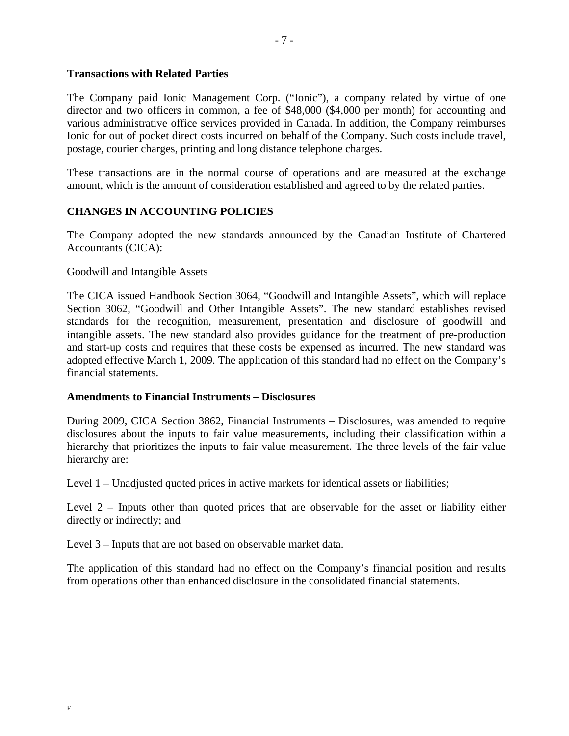# **Transactions with Related Parties**

The Company paid Ionic Management Corp. ("Ionic"), a company related by virtue of one director and two officers in common, a fee of \$48,000 (\$4,000 per month) for accounting and various administrative office services provided in Canada. In addition, the Company reimburses Ionic for out of pocket direct costs incurred on behalf of the Company. Such costs include travel, postage, courier charges, printing and long distance telephone charges.

These transactions are in the normal course of operations and are measured at the exchange amount, which is the amount of consideration established and agreed to by the related parties.

# **CHANGES IN ACCOUNTING POLICIES**

The Company adopted the new standards announced by the Canadian Institute of Chartered Accountants (CICA):

# Goodwill and Intangible Assets

The CICA issued Handbook Section 3064, "Goodwill and Intangible Assets", which will replace Section 3062, "Goodwill and Other Intangible Assets". The new standard establishes revised standards for the recognition, measurement, presentation and disclosure of goodwill and intangible assets. The new standard also provides guidance for the treatment of pre-production and start-up costs and requires that these costs be expensed as incurred. The new standard was adopted effective March 1, 2009. The application of this standard had no effect on the Company's financial statements.

## **Amendments to Financial Instruments – Disclosures**

During 2009, CICA Section 3862, Financial Instruments – Disclosures, was amended to require disclosures about the inputs to fair value measurements, including their classification within a hierarchy that prioritizes the inputs to fair value measurement. The three levels of the fair value hierarchy are:

Level 1 – Unadjusted quoted prices in active markets for identical assets or liabilities;

Level 2 – Inputs other than quoted prices that are observable for the asset or liability either directly or indirectly; and

Level 3 – Inputs that are not based on observable market data.

The application of this standard had no effect on the Company's financial position and results from operations other than enhanced disclosure in the consolidated financial statements.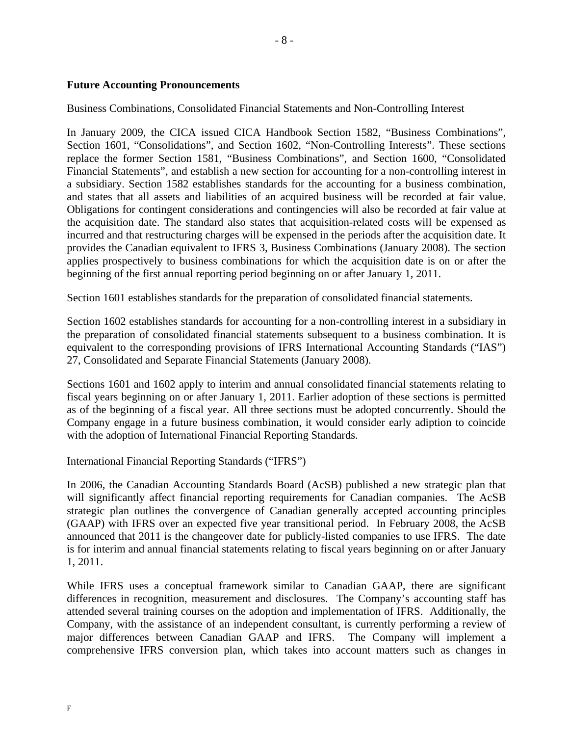# **Future Accounting Pronouncements**

# Business Combinations, Consolidated Financial Statements and Non-Controlling Interest

In January 2009, the CICA issued CICA Handbook Section 1582, "Business Combinations", Section 1601, "Consolidations", and Section 1602, "Non-Controlling Interests". These sections replace the former Section 1581, "Business Combinations", and Section 1600, "Consolidated Financial Statements", and establish a new section for accounting for a non-controlling interest in a subsidiary. Section 1582 establishes standards for the accounting for a business combination, and states that all assets and liabilities of an acquired business will be recorded at fair value. Obligations for contingent considerations and contingencies will also be recorded at fair value at the acquisition date. The standard also states that acquisition-related costs will be expensed as incurred and that restructuring charges will be expensed in the periods after the acquisition date. It provides the Canadian equivalent to IFRS 3, Business Combinations (January 2008). The section applies prospectively to business combinations for which the acquisition date is on or after the beginning of the first annual reporting period beginning on or after January 1, 2011.

Section 1601 establishes standards for the preparation of consolidated financial statements.

Section 1602 establishes standards for accounting for a non-controlling interest in a subsidiary in the preparation of consolidated financial statements subsequent to a business combination. It is equivalent to the corresponding provisions of IFRS International Accounting Standards ("IAS") 27, Consolidated and Separate Financial Statements (January 2008).

Sections 1601 and 1602 apply to interim and annual consolidated financial statements relating to fiscal years beginning on or after January 1, 2011. Earlier adoption of these sections is permitted as of the beginning of a fiscal year. All three sections must be adopted concurrently. Should the Company engage in a future business combination, it would consider early adiption to coincide with the adoption of International Financial Reporting Standards.

International Financial Reporting Standards ("IFRS")

In 2006, the Canadian Accounting Standards Board (AcSB) published a new strategic plan that will significantly affect financial reporting requirements for Canadian companies. The AcSB strategic plan outlines the convergence of Canadian generally accepted accounting principles (GAAP) with IFRS over an expected five year transitional period. In February 2008, the AcSB announced that 2011 is the changeover date for publicly-listed companies to use IFRS. The date is for interim and annual financial statements relating to fiscal years beginning on or after January 1, 2011.

While IFRS uses a conceptual framework similar to Canadian GAAP, there are significant differences in recognition, measurement and disclosures. The Company's accounting staff has attended several training courses on the adoption and implementation of IFRS. Additionally, the Company, with the assistance of an independent consultant, is currently performing a review of major differences between Canadian GAAP and IFRS. The Company will implement a comprehensive IFRS conversion plan, which takes into account matters such as changes in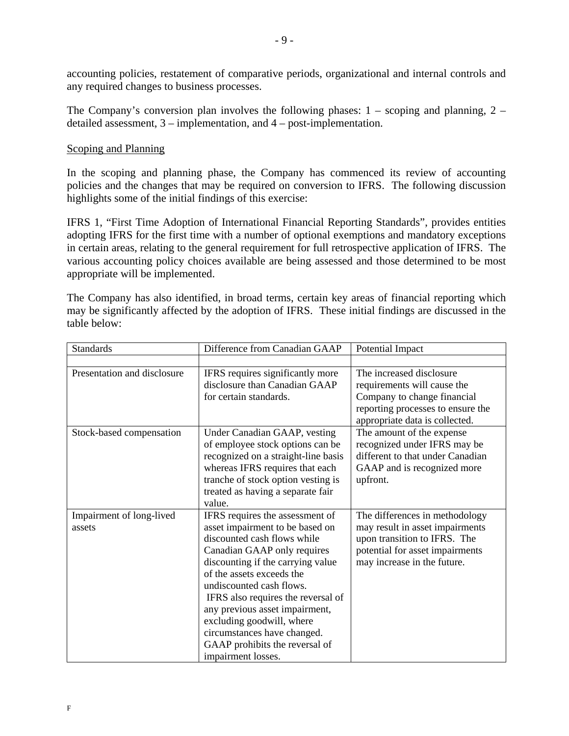accounting policies, restatement of comparative periods, organizational and internal controls and any required changes to business processes.

The Company's conversion plan involves the following phases:  $1 -$  scoping and planning,  $2$ detailed assessment, 3 – implementation, and 4 – post-implementation.

# Scoping and Planning

In the scoping and planning phase, the Company has commenced its review of accounting policies and the changes that may be required on conversion to IFRS. The following discussion highlights some of the initial findings of this exercise:

IFRS 1, "First Time Adoption of International Financial Reporting Standards", provides entities adopting IFRS for the first time with a number of optional exemptions and mandatory exceptions in certain areas, relating to the general requirement for full retrospective application of IFRS. The various accounting policy choices available are being assessed and those determined to be most appropriate will be implemented.

The Company has also identified, in broad terms, certain key areas of financial reporting which may be significantly affected by the adoption of IFRS. These initial findings are discussed in the table below:

| <b>Standards</b>            | Difference from Canadian GAAP       | Potential Impact                  |
|-----------------------------|-------------------------------------|-----------------------------------|
|                             |                                     |                                   |
| Presentation and disclosure | IFRS requires significantly more    | The increased disclosure          |
|                             | disclosure than Canadian GAAP       | requirements will cause the       |
|                             | for certain standards.              | Company to change financial       |
|                             |                                     | reporting processes to ensure the |
|                             |                                     | appropriate data is collected.    |
| Stock-based compensation    | Under Canadian GAAP, vesting        | The amount of the expense         |
|                             | of employee stock options can be    | recognized under IFRS may be      |
|                             | recognized on a straight-line basis | different to that under Canadian  |
|                             | whereas IFRS requires that each     | GAAP and is recognized more       |
|                             | tranche of stock option vesting is  | upfront.                          |
|                             | treated as having a separate fair   |                                   |
|                             | value.                              |                                   |
| Impairment of long-lived    | IFRS requires the assessment of     | The differences in methodology    |
| assets                      | asset impairment to be based on     | may result in asset impairments   |
|                             | discounted cash flows while         | upon transition to IFRS. The      |
|                             | Canadian GAAP only requires         | potential for asset impairments   |
|                             | discounting if the carrying value   | may increase in the future.       |
|                             | of the assets exceeds the           |                                   |
|                             | undiscounted cash flows.            |                                   |
|                             | IFRS also requires the reversal of  |                                   |
|                             | any previous asset impairment,      |                                   |
|                             | excluding goodwill, where           |                                   |
|                             | circumstances have changed.         |                                   |
|                             | GAAP prohibits the reversal of      |                                   |
|                             | impairment losses.                  |                                   |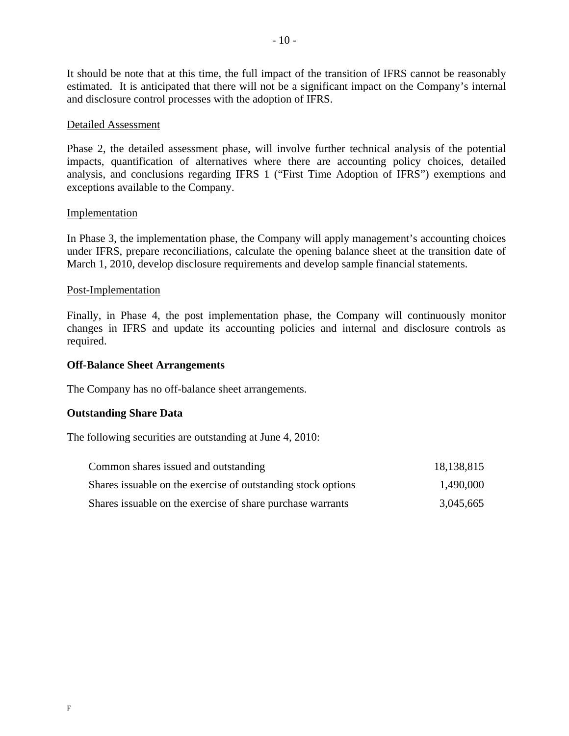It should be note that at this time, the full impact of the transition of IFRS cannot be reasonably estimated. It is anticipated that there will not be a significant impact on the Company's internal and disclosure control processes with the adoption of IFRS.

# Detailed Assessment

Phase 2, the detailed assessment phase, will involve further technical analysis of the potential impacts, quantification of alternatives where there are accounting policy choices, detailed analysis, and conclusions regarding IFRS 1 ("First Time Adoption of IFRS") exemptions and exceptions available to the Company.

# **Implementation**

In Phase 3, the implementation phase, the Company will apply management's accounting choices under IFRS, prepare reconciliations, calculate the opening balance sheet at the transition date of March 1, 2010, develop disclosure requirements and develop sample financial statements.

# Post-Implementation

Finally, in Phase 4, the post implementation phase, the Company will continuously monitor changes in IFRS and update its accounting policies and internal and disclosure controls as required.

## **Off-Balance Sheet Arrangements**

The Company has no off-balance sheet arrangements.

# **Outstanding Share Data**

The following securities are outstanding at June 4, 2010:

| Common shares issued and outstanding                          | 18,138,815 |  |
|---------------------------------------------------------------|------------|--|
| Shares is suable on the exercise of outstanding stock options | 1,490,000  |  |
| Shares is suable on the exercise of share purchase warrants   | 3,045,665  |  |